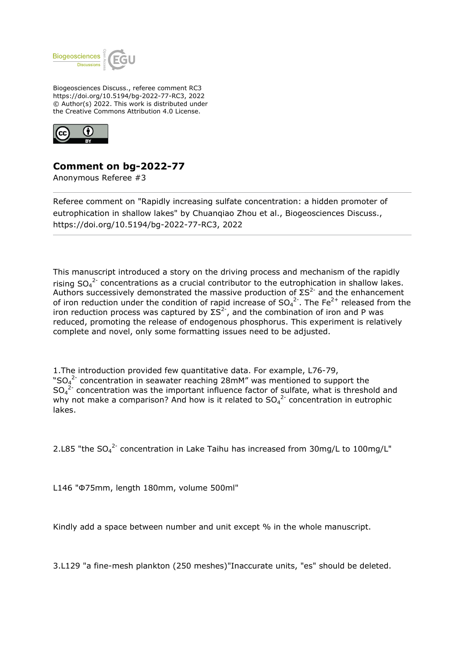

Biogeosciences Discuss., referee comment RC3 https://doi.org/10.5194/bg-2022-77-RC3, 2022 © Author(s) 2022. This work is distributed under the Creative Commons Attribution 4.0 License.



## **Comment on bg-2022-77**

Anonymous Referee #3

Referee comment on "Rapidly increasing sulfate concentration: a hidden promoter of eutrophication in shallow lakes" by Chuanqiao Zhou et al., Biogeosciences Discuss., https://doi.org/10.5194/bg-2022-77-RC3, 2022

This manuscript introduced a story on the driving process and mechanism of the rapidly rising  $SO_4^2$  concentrations as a crucial contributor to the eutrophication in shallow lakes. Authors successively demonstrated the massive production of  $\Sigma S^2$  and the enhancement of iron reduction under the condition of rapid increase of  ${SO_4}^{2}$ . The Fe<sup>2+</sup> released from the iron reduction process was captured by  $\Sigma S^2$ , and the combination of iron and P was reduced, promoting the release of endogenous phosphorus. This experiment is relatively complete and novel, only some formatting issues need to be adjusted.

1.The introduction provided few quantitative data. For example, L76-79, "SO<sub>4</sub><sup>2-</sup> concentration in seawater reaching 28mM" was mentioned to support the  $SO_4^2$  concentration was the important influence factor of sulfate, what is threshold and why not make a comparison? And how is it related to  $SO_4^2$  concentration in eutrophic lakes.

2.L85 "the  $SO_4^2$  concentration in Lake Taihu has increased from 30mg/L to 100mg/L"

L146 "Φ75mm, length 180mm, volume 500ml"

Kindly add a space between number and unit except % in the whole manuscript.

3.L129 "a fine-mesh plankton (250 meshes)"Inaccurate units, "es" should be deleted.